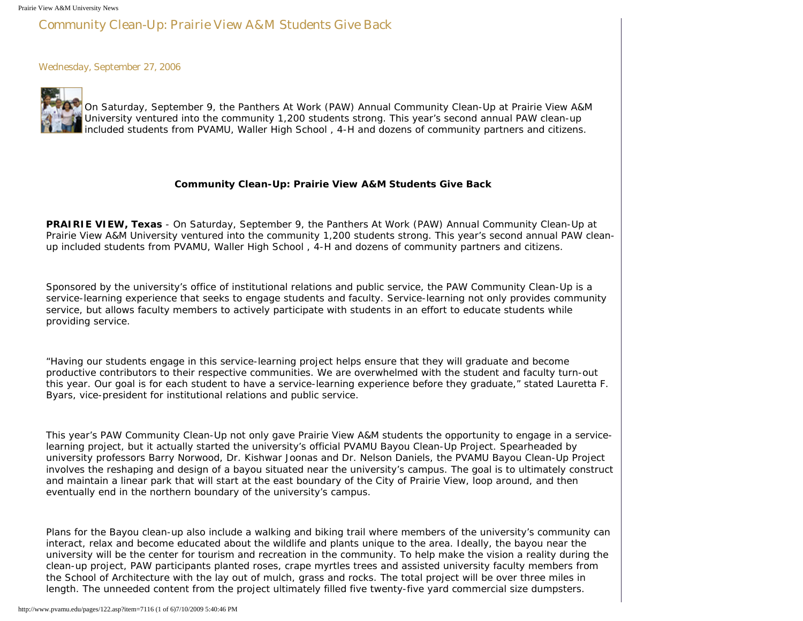## Community Clean-Up: Prairie View A&M Students Give Back

Wednesday, September 27, 2006



On Saturday, September 9, the Panthers At Work (PAW) Annual Community Clean-Up at Prairie View A&M University ventured into the community 1,200 students strong. This year's second annual PAW clean-up included students from PVAMU, Waller High School , 4-H and dozens of community partners and citizens.

## **Community Clean-Up: Prairie View A&M Students Give Back**

**PRAIRIE VIEW, Texas** - On Saturday, September 9, the Panthers At Work (PAW) Annual Community Clean-Up at Prairie View A&M University ventured into the community 1,200 students strong. This year's second annual PAW cleanup included students from PVAMU, Waller High School , 4-H and dozens of community partners and citizens.

Sponsored by the university's office of institutional relations and public service, the PAW Community Clean-Up is a service-learning experience that seeks to engage students and faculty. Service-learning not only provides community service, but allows faculty members to actively participate with students in an effort to educate students while providing service.

"Having our students engage in this service-learning project helps ensure that they will graduate and become productive contributors to their respective communities. We are overwhelmed with the student and faculty turn-out this year. Our goal is for each student to have a service-learning experience before they graduate," stated Lauretta F. Byars, vice-president for institutional relations and public service.

This year's PAW Community Clean-Up not only gave Prairie View A&M students the opportunity to engage in a servicelearning project, but it actually started the university's official PVAMU Bayou Clean-Up Project. Spearheaded by university professors Barry Norwood, Dr. Kishwar Joonas and Dr. Nelson Daniels, the PVAMU Bayou Clean-Up Project involves the reshaping and design of a bayou situated near the university's campus. The goal is to ultimately construct and maintain a linear park that will start at the east boundary of the City of Prairie View, loop around, and then eventually end in the northern boundary of the university's campus.

Plans for the Bayou clean-up also include a walking and biking trail where members of the university's community can interact, relax and become educated about the wildlife and plants unique to the area. Ideally, the bayou near the university will be the center for tourism and recreation in the community. To help make the vision a reality during the clean-up project, PAW participants planted roses, crape myrtles trees and assisted university faculty members from the School of Architecture with the lay out of mulch, grass and rocks. The total project will be over three miles in length. The unneeded content from the project ultimately filled five twenty-five yard commercial size dumpsters.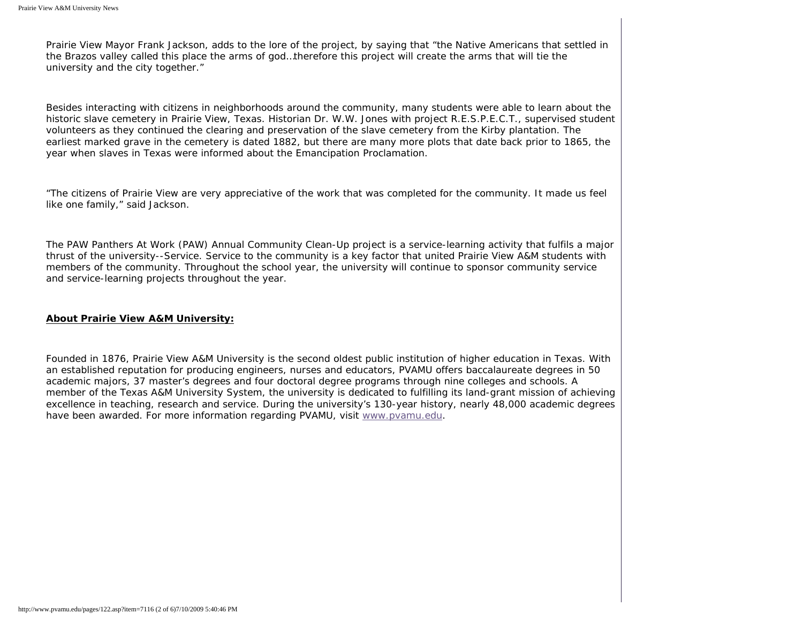Prairie View Mayor Frank Jackson, adds to the lore of the project, by saying that "the Native Americans that settled in the Brazos valley called this place the arms of god…therefore this project will create the arms that will tie the university and the city together."

Besides interacting with citizens in neighborhoods around the community, many students were able to learn about the historic slave cemetery in Prairie View, Texas. Historian Dr. W.W. Jones with project R.E.S.P.E.C.T., supervised student volunteers as they continued the clearing and preservation of the slave cemetery from the Kirby plantation. The earliest marked grave in the cemetery is dated 1882, but there are many more plots that date back prior to 1865, the year when slaves in Texas were informed about the Emancipation Proclamation.

"The citizens of Prairie View are very appreciative of the work that was completed for the community. It made us feel like one family," said Jackson.

The PAW Panthers At Work (PAW) Annual Community Clean-Up project is a service-learning activity that fulfils a major thrust of the university--Service. Service to the community is a key factor that united Prairie View A&M students with members of the community. Throughout the school year, the university will continue to sponsor community service and service-learning projects throughout the year.

## **About Prairie View A&M University:**

Founded in 1876, Prairie View A&M University is the second oldest public institution of higher education in Texas. With an established reputation for producing engineers, nurses and educators, PVAMU offers baccalaureate degrees in 50 academic majors, 37 master's degrees and four doctoral degree programs through nine colleges and schools. A member of the Texas A&M University System, the university is dedicated to fulfilling its land-grant mission of achieving excellence in teaching, research and service. During the university's 130-year history, nearly 48,000 academic degrees have been awarded. For more information regarding PVAMU, visit [www.pvamu.edu](http://www.pvamu.edu/).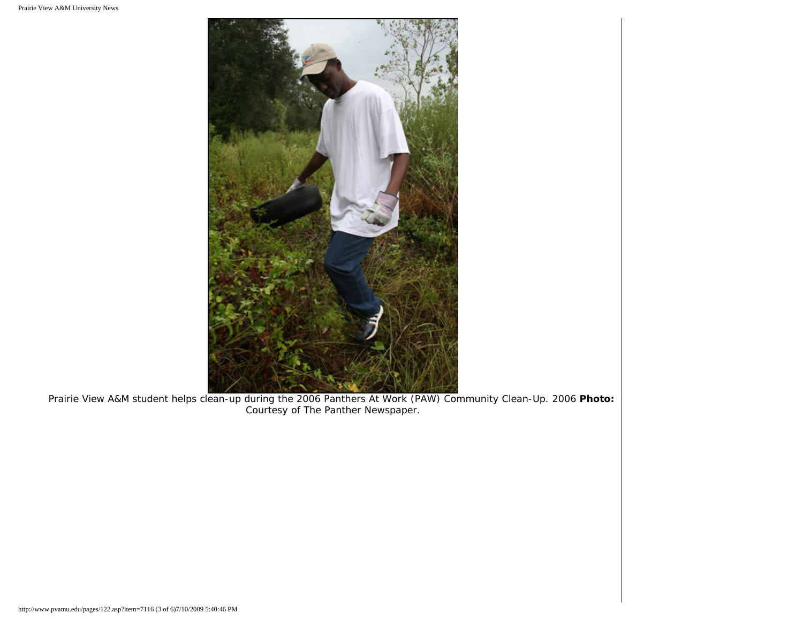

Prairie View A&M student helps clean-up during the 2006 Panthers At Work (PAW) Community Clean-Up. 2006 **Photo:** Courtesy of *The Panther* Newspaper.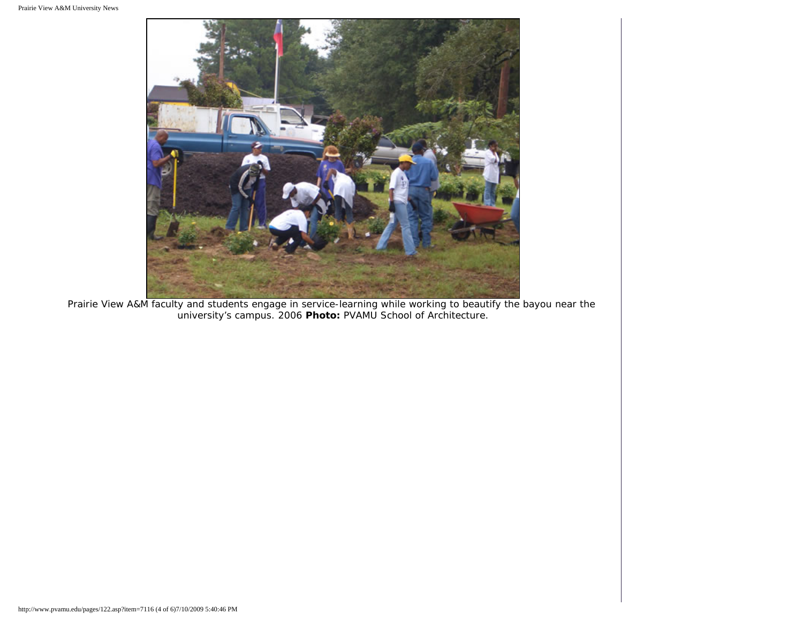

Prairie View A&M faculty and students engage in service-learning while working to beautify the bayou near the university's campus. 2006 **Photo:** PVAMU School of Architecture.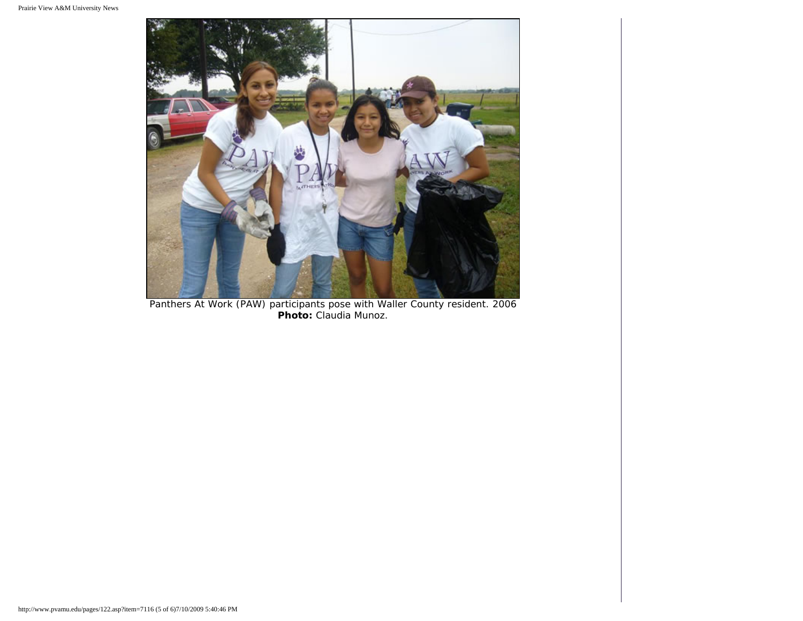

Panthers At Work (PAW) participants pose with Waller County resident. 2006 **Photo:** Claudia Munoz.